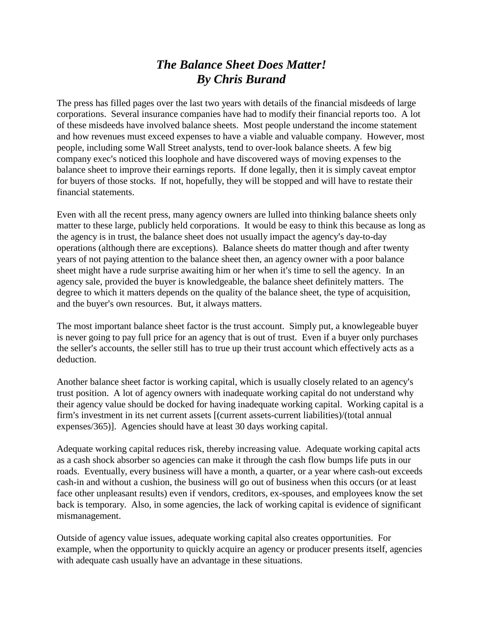## *The Balance Sheet Does Matter! By Chris Burand*

The press has filled pages over the last two years with details of the financial misdeeds of large corporations. Several insurance companies have had to modify their financial reports too. A lot of these misdeeds have involved balance sheets. Most people understand the income statement and how revenues must exceed expenses to have a viable and valuable company. However, most people, including some Wall Street analysts, tend to over-look balance sheets. A few big company exec's noticed this loophole and have discovered ways of moving expenses to the balance sheet to improve their earnings reports. If done legally, then it is simply caveat emptor for buyers of those stocks. If not, hopefully, they will be stopped and will have to restate their financial statements.

Even with all the recent press, many agency owners are lulled into thinking balance sheets only matter to these large, publicly held corporations. It would be easy to think this because as long as the agency is in trust, the balance sheet does not usually impact the agency's day-to-day operations (although there are exceptions). Balance sheets do matter though and after twenty years of not paying attention to the balance sheet then, an agency owner with a poor balance sheet might have a rude surprise awaiting him or her when it's time to sell the agency. In an agency sale, provided the buyer is knowledgeable, the balance sheet definitely matters. The degree to which it matters depends on the quality of the balance sheet, the type of acquisition, and the buyer's own resources. But, it always matters.

The most important balance sheet factor is the trust account. Simply put, a knowlegeable buyer is never going to pay full price for an agency that is out of trust. Even if a buyer only purchases the seller's accounts, the seller still has to true up their trust account which effectively acts as a deduction.

Another balance sheet factor is working capital, which is usually closely related to an agency's trust position. A lot of agency owners with inadequate working capital do not understand why their agency value should be docked for having inadequate working capital. Working capital is a firm's investment in its net current assets [(current assets-current liabilities)/(total annual expenses/365)]. Agencies should have at least 30 days working capital.

Adequate working capital reduces risk, thereby increasing value. Adequate working capital acts as a cash shock absorber so agencies can make it through the cash flow bumps life puts in our roads. Eventually, every business will have a month, a quarter, or a year where cash-out exceeds cash-in and without a cushion, the business will go out of business when this occurs (or at least face other unpleasant results) even if vendors, creditors, ex-spouses, and employees know the set back is temporary. Also, in some agencies, the lack of working capital is evidence of significant mismanagement.

Outside of agency value issues, adequate working capital also creates opportunities. For example, when the opportunity to quickly acquire an agency or producer presents itself, agencies with adequate cash usually have an advantage in these situations.